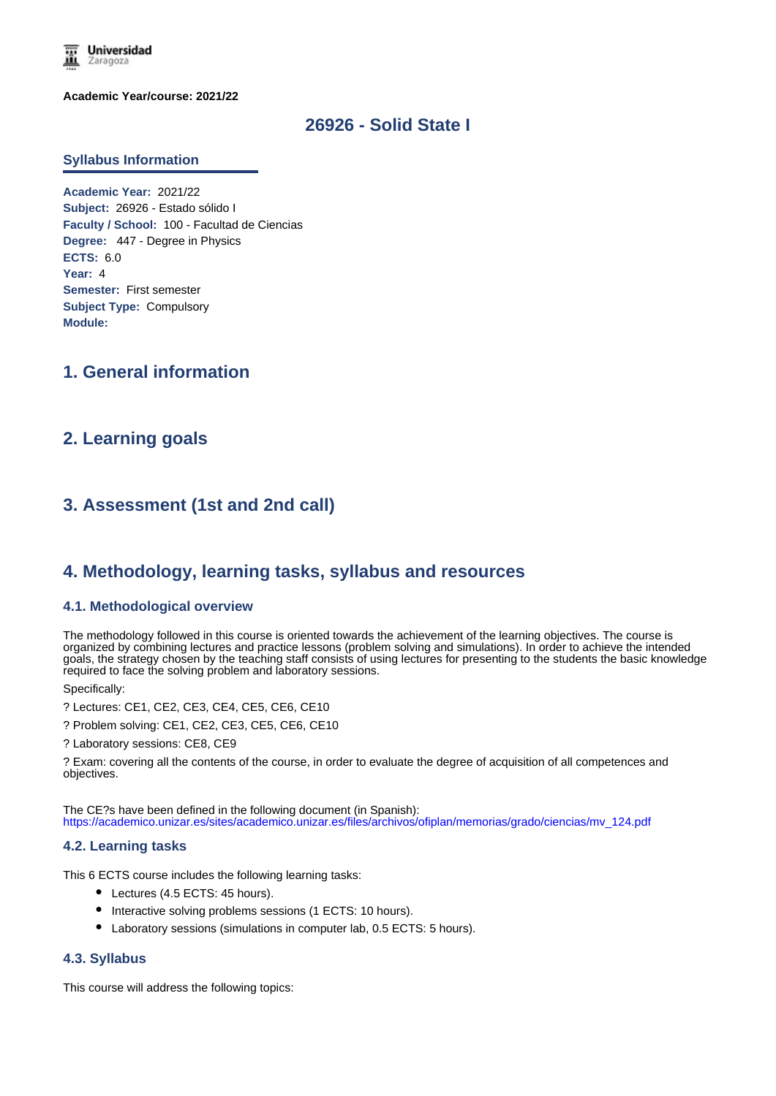

**Academic Year/course: 2021/22**

# **26926 - Solid State I**

#### **Syllabus Information**

**Academic Year:** 2021/22 **Subject:** 26926 - Estado sólido I **Faculty / School:** 100 - Facultad de Ciencias **Degree:** 447 - Degree in Physics **ECTS:** 6.0 **Year:** 4 **Semester:** First semester **Subject Type:** Compulsory **Module:**

# **1. General information**

## **2. Learning goals**

# **3. Assessment (1st and 2nd call)**

## **4. Methodology, learning tasks, syllabus and resources**

#### **4.1. Methodological overview**

The methodology followed in this course is oriented towards the achievement of the learning objectives. The course is organized by combining lectures and practice lessons (problem solving and simulations). In order to achieve the intended goals, the strategy chosen by the teaching staff consists of using lectures for presenting to the students the basic knowledge required to face the solving problem and laboratory sessions.

Specifically:

? Lectures: CE1, CE2, CE3, CE4, CE5, CE6, CE10

? Problem solving: CE1, CE2, CE3, CE5, CE6, CE10

? Laboratory sessions: CE8, CE9

? Exam: covering all the contents of the course, in order to evaluate the degree of acquisition of all competences and objectives.

The CE?s have been defined in the following document (in Spanish): https://academico.unizar.es/sites/academico.unizar.es/files/archivos/ofiplan/memorias/grado/ciencias/mv\_124.pdf

#### **4.2. Learning tasks**

This 6 ECTS course includes the following learning tasks:

- Lectures (4.5 ECTS: 45 hours).
- $\bullet$  Interactive solving problems sessions (1 ECTS: 10 hours).
- Laboratory sessions (simulations in computer lab, 0.5 ECTS: 5 hours).

## **4.3. Syllabus**

This course will address the following topics: